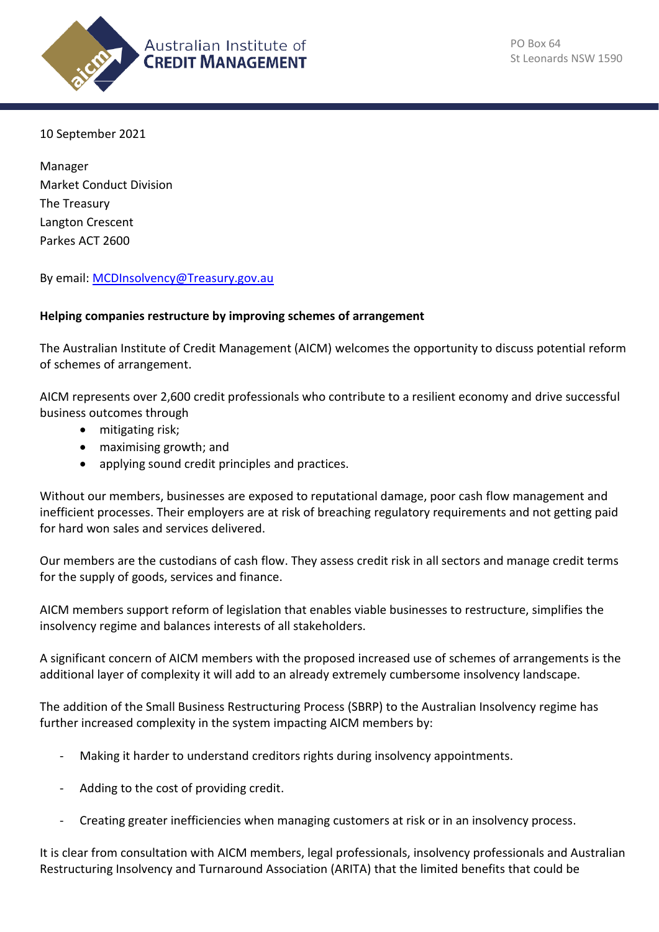

10 September 2021

Manager Market Conduct Division The Treasury Langton Crescent Parkes ACT 2600

By email: [MCDInsolvency@Treasury.gov.au](mailto:MCDInsolvency@Treasury.gov.au)

#### **Helping companies restructure by improving schemes of arrangement**

The Australian Institute of Credit Management (AICM) welcomes the opportunity to discuss potential reform of schemes of arrangement.

AICM represents over 2,600 credit professionals who contribute to a resilient economy and drive successful business outcomes through

- mitigating risk;
- maximising growth; and
- applying sound credit principles and practices.

Without our members, businesses are exposed to reputational damage, poor cash flow management and inefficient processes. Their employers are at risk of breaching regulatory requirements and not getting paid for hard won sales and services delivered.

Our members are the custodians of cash flow. They assess credit risk in all sectors and manage credit terms for the supply of goods, services and finance.

AICM members support reform of legislation that enables viable businesses to restructure, simplifies the insolvency regime and balances interests of all stakeholders.

A significant concern of AICM members with the proposed increased use of schemes of arrangements is the additional layer of complexity it will add to an already extremely cumbersome insolvency landscape.

The addition of the Small Business Restructuring Process (SBRP) to the Australian Insolvency regime has further increased complexity in the system impacting AICM members by:

- Making it harder to understand creditors rights during insolvency appointments.
- Adding to the cost of providing credit.
- Creating greater inefficiencies when managing customers at risk or in an insolvency process.

It is clear from consultation with AICM members, legal professionals, insolvency professionals and Australian Restructuring Insolvency and Turnaround Association (ARITA) that the limited benefits that could be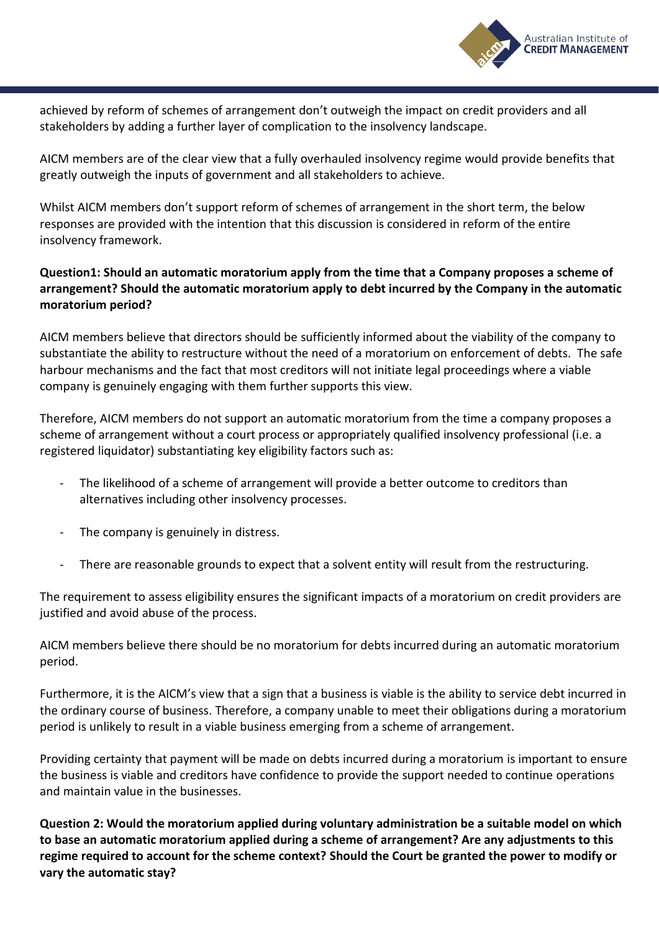

achieved by reform of schemes of arrangement don't outweigh the impact on credit providers and all stakeholders by adding a further layer of complication to the insolvency landscape.

AICM members are of the clear view that a fully overhauled insolvency regime would provide benefits that greatly outweigh the inputs of government and all stakeholders to achieve.

Whilst AICM members don't support reform of schemes of arrangement in the short term, the below responses are provided with the intention that this discussion is considered in reform of the entire insolvency framework.

# **Question1: Should an automatic moratorium apply from the time that a Company proposes a scheme of arrangement? Should the automatic moratorium apply to debt incurred by the Company in the automatic moratorium period?**

AICM members believe that directors should be sufficiently informed about the viability of the company to substantiate the ability to restructure without the need of a moratorium on enforcement of debts. The safe harbour mechanisms and the fact that most creditors will not initiate legal proceedings where a viable company is genuinely engaging with them further supports this view.

Therefore, AICM members do not support an automatic moratorium from the time a company proposes a scheme of arrangement without a court process or appropriately qualified insolvency professional (i.e. a registered liquidator) substantiating key eligibility factors such as:

- The likelihood of a scheme of arrangement will provide a better outcome to creditors than alternatives including other insolvency processes.
- The company is genuinely in distress.
- There are reasonable grounds to expect that a solvent entity will result from the restructuring.

The requirement to assess eligibility ensures the significant impacts of a moratorium on credit providers are justified and avoid abuse of the process.

AICM members believe there should be no moratorium for debts incurred during an automatic moratorium period.

Furthermore, it is the AICM's view that a sign that a business is viable is the ability to service debt incurred in the ordinary course of business. Therefore, a company unable to meet their obligations during a moratorium period is unlikely to result in a viable business emerging from a scheme of arrangement.

Providing certainty that payment will be made on debts incurred during a moratorium is important to ensure the business is viable and creditors have confidence to provide the support needed to continue operations and maintain value in the businesses.

**Question 2: Would the moratorium applied during voluntary administration be a suitable model on which to base an automatic moratorium applied during a scheme of arrangement? Are any adjustments to this regime required to account for the scheme context? Should the Court be granted the power to modify or vary the automatic stay?**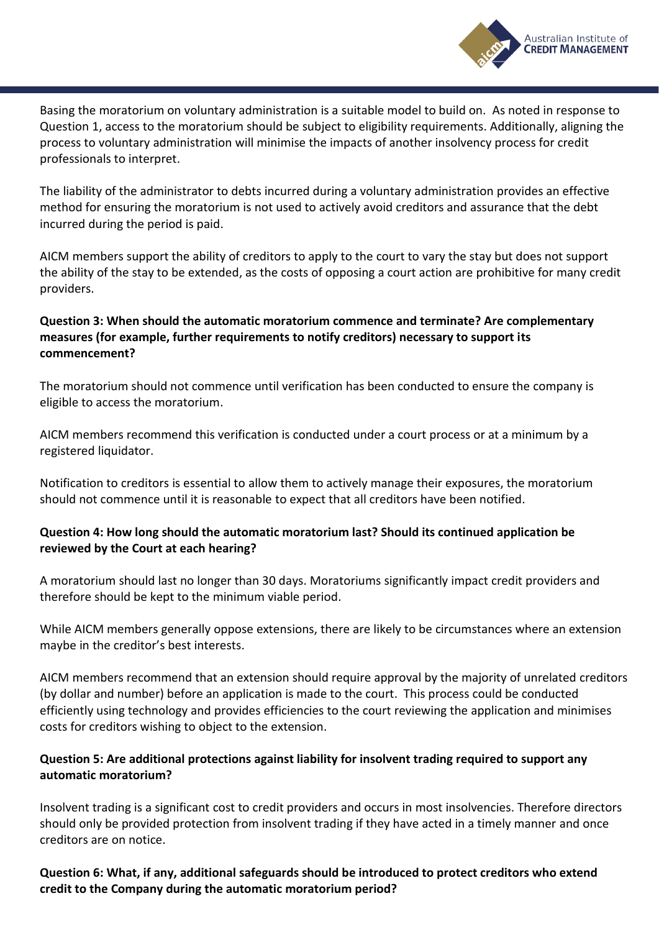

Basing the moratorium on voluntary administration is a suitable model to build on. As noted in response to Question 1, access to the moratorium should be subject to eligibility requirements. Additionally, aligning the process to voluntary administration will minimise the impacts of another insolvency process for credit professionals to interpret.

The liability of the administrator to debts incurred during a voluntary administration provides an effective method for ensuring the moratorium is not used to actively avoid creditors and assurance that the debt incurred during the period is paid.

AICM members support the ability of creditors to apply to the court to vary the stay but does not support the ability of the stay to be extended, as the costs of opposing a court action are prohibitive for many credit providers.

# **Question 3: When should the automatic moratorium commence and terminate? Are complementary measures (for example, further requirements to notify creditors) necessary to support its commencement?**

The moratorium should not commence until verification has been conducted to ensure the company is eligible to access the moratorium.

AICM members recommend this verification is conducted under a court process or at a minimum by a registered liquidator.

Notification to creditors is essential to allow them to actively manage their exposures, the moratorium should not commence until it is reasonable to expect that all creditors have been notified.

# **Question 4: How long should the automatic moratorium last? Should its continued application be reviewed by the Court at each hearing?**

A moratorium should last no longer than 30 days. Moratoriums significantly impact credit providers and therefore should be kept to the minimum viable period.

While AICM members generally oppose extensions, there are likely to be circumstances where an extension maybe in the creditor's best interests.

AICM members recommend that an extension should require approval by the majority of unrelated creditors (by dollar and number) before an application is made to the court. This process could be conducted efficiently using technology and provides efficiencies to the court reviewing the application and minimises costs for creditors wishing to object to the extension.

# **Question 5: Are additional protections against liability for insolvent trading required to support any automatic moratorium?**

Insolvent trading is a significant cost to credit providers and occurs in most insolvencies. Therefore directors should only be provided protection from insolvent trading if they have acted in a timely manner and once creditors are on notice.

**Question 6: What, if any, additional safeguards should be introduced to protect creditors who extend credit to the Company during the automatic moratorium period?**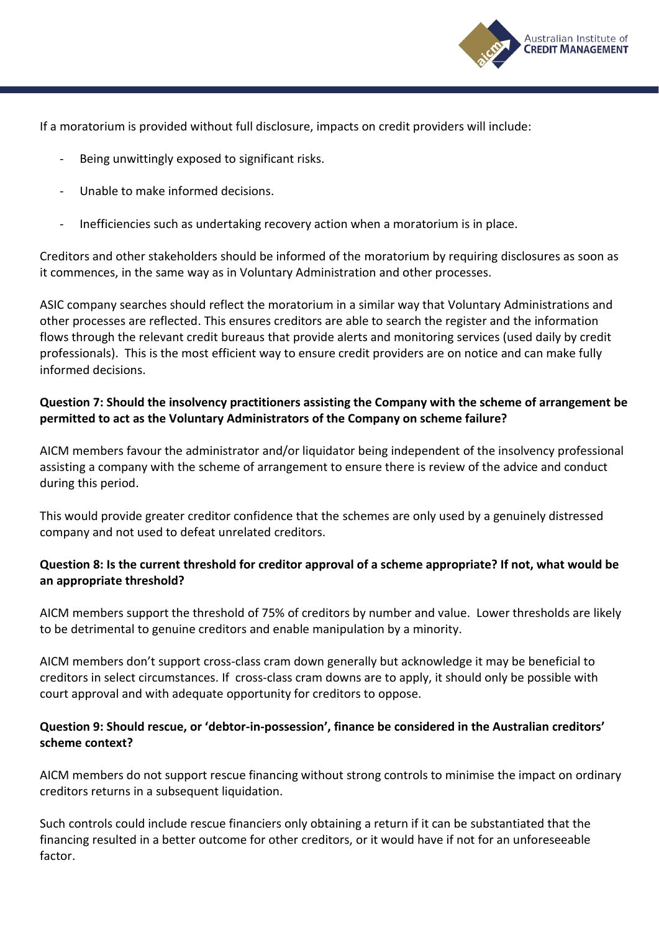

If a moratorium is provided without full disclosure, impacts on credit providers will include:

- Being unwittingly exposed to significant risks.
- Unable to make informed decisions.
- Inefficiencies such as undertaking recovery action when a moratorium is in place.

Creditors and other stakeholders should be informed of the moratorium by requiring disclosures as soon as it commences, in the same way as in Voluntary Administration and other processes.

ASIC company searches should reflect the moratorium in a similar way that Voluntary Administrations and other processes are reflected. This ensures creditors are able to search the register and the information flows through the relevant credit bureaus that provide alerts and monitoring services (used daily by credit professionals). This is the most efficient way to ensure credit providers are on notice and can make fully informed decisions.

### **Question 7: Should the insolvency practitioners assisting the Company with the scheme of arrangement be permitted to act as the Voluntary Administrators of the Company on scheme failure?**

AICM members favour the administrator and/or liquidator being independent of the insolvency professional assisting a company with the scheme of arrangement to ensure there is review of the advice and conduct during this period.

This would provide greater creditor confidence that the schemes are only used by a genuinely distressed company and not used to defeat unrelated creditors.

### **Question 8: Is the current threshold for creditor approval of a scheme appropriate? If not, what would be an appropriate threshold?**

AICM members support the threshold of 75% of creditors by number and value. Lower thresholds are likely to be detrimental to genuine creditors and enable manipulation by a minority.

AICM members don't support cross-class cram down generally but acknowledge it may be beneficial to creditors in select circumstances. If cross-class cram downs are to apply, it should only be possible with court approval and with adequate opportunity for creditors to oppose.

### **Question 9: Should rescue, or 'debtor-in-possession', finance be considered in the Australian creditors' scheme context?**

AICM members do not support rescue financing without strong controls to minimise the impact on ordinary creditors returns in a subsequent liquidation.

Such controls could include rescue financiers only obtaining a return if it can be substantiated that the financing resulted in a better outcome for other creditors, or it would have if not for an unforeseeable factor.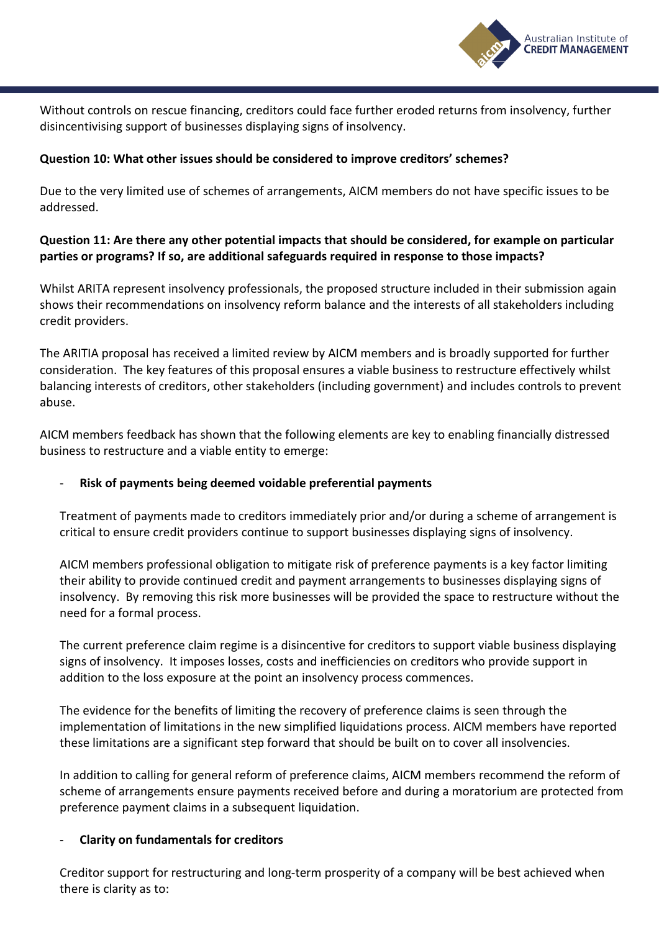

Without controls on rescue financing, creditors could face further eroded returns from insolvency, further disincentivising support of businesses displaying signs of insolvency.

### **Question 10: What other issues should be considered to improve creditors' schemes?**

Due to the very limited use of schemes of arrangements, AICM members do not have specific issues to be addressed.

# **Question 11: Are there any other potential impacts that should be considered, for example on particular parties or programs? If so, are additional safeguards required in response to those impacts?**

Whilst ARITA represent insolvency professionals, the proposed structure included in their submission again shows their recommendations on insolvency reform balance and the interests of all stakeholders including credit providers.

The ARITIA proposal has received a limited review by AICM members and is broadly supported for further consideration. The key features of this proposal ensures a viable business to restructure effectively whilst balancing interests of creditors, other stakeholders (including government) and includes controls to prevent abuse.

AICM members feedback has shown that the following elements are key to enabling financially distressed business to restructure and a viable entity to emerge:

### - **Risk of payments being deemed voidable preferential payments**

Treatment of payments made to creditors immediately prior and/or during a scheme of arrangement is critical to ensure credit providers continue to support businesses displaying signs of insolvency.

AICM members professional obligation to mitigate risk of preference payments is a key factor limiting their ability to provide continued credit and payment arrangements to businesses displaying signs of insolvency. By removing this risk more businesses will be provided the space to restructure without the need for a formal process.

The current preference claim regime is a disincentive for creditors to support viable business displaying signs of insolvency. It imposes losses, costs and inefficiencies on creditors who provide support in addition to the loss exposure at the point an insolvency process commences.

The evidence for the benefits of limiting the recovery of preference claims is seen through the implementation of limitations in the new simplified liquidations process. AICM members have reported these limitations are a significant step forward that should be built on to cover all insolvencies.

In addition to calling for general reform of preference claims, AICM members recommend the reform of scheme of arrangements ensure payments received before and during a moratorium are protected from preference payment claims in a subsequent liquidation.

#### - **Clarity on fundamentals for creditors**

Creditor support for restructuring and long-term prosperity of a company will be best achieved when there is clarity as to: